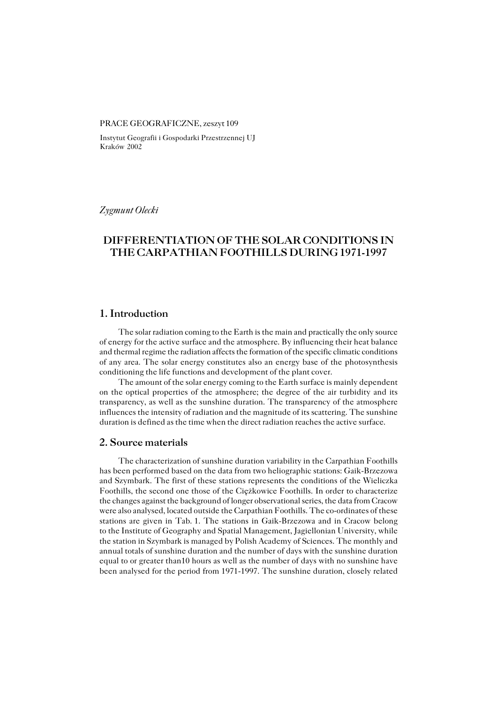#### PRACE GEOGRAFICZNE, zeszyt 109

Instytut Geografii i Gospodarki Przestrzennej UJ Kraków 2002

*Zygmunt Olecki*

# **DIFFERENTIATION OF THE SOLAR CONDITIONS IN THE CARPATHIAN FOOTHILLS DURING 1971−1997**

#### **1. Introduction**

The solar radiation coming to the Earth is the main and practically the only source of energy for the active surface and the atmosphere. By influencing their heat balance and thermal regime the radiation affects the formation of the specific climatic conditions of any area. The solar energy constitutes also an energy base of the photosynthesis conditioning the life functions and development of the plant cover.

The amount of the solar energy coming to the Earth surface is mainly dependent on the optical properties of the atmosphere; the degree of the air turbidity and its transparency, as well as the sunshine duration. The transparency of the atmosphere influences the intensity of radiation and the magnitude of its scattering. The sunshine duration is defined as the time when the direct radiation reaches the active surface.

## **2. Source materials**

The characterization of sunshine duration variability in the Carpathian Foothills has been performed based on the data from two heliographic stations: Gaik−Brzezowa and Szymbark. The first of these stations represents the conditions of the Wieliczka Foothills, the second one those of the Ciężkowice Foothills. In order to characterize the changes against the background of longer observational series, the data from Cracow were also analysed, located outside the Carpathian Foothills. The co−ordinates of these stations are given in Tab.1. The stations in Gaik−Brzezowa and in Cracow belong to the Institute of Geography and Spatial Management, Jagiellonian University, while the station in Szymbark is managed by Polish Academy of Sciences. The monthly and annual totals of sunshine duration and the number of days with the sunshine duration equal to or greater than10 hours as well as the number of days with no sunshine have been analysed for the period from 1971−1997. The sunshine duration, closely related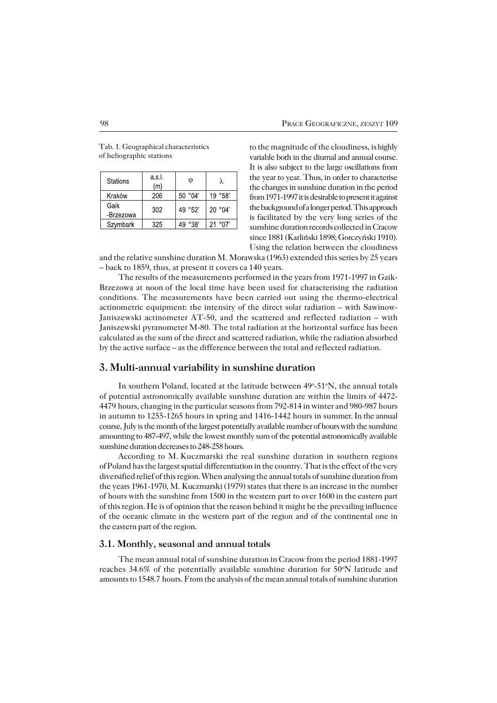| от пеноgraрніе stations |               |         |         |
|-------------------------|---------------|---------|---------|
| <b>Stations</b>         | a s I.<br>(m) | φ       | λ       |
| Kraków                  | 206           | 50°04'  | 19 °58' |
| Gaik<br>-Brzezowa       | 302           | 49 °52' | 20 °04' |
| Szymhark                | マクら           |         |         |

Tab. 1. Geographical characteristics of heliographic stations

to the magnitude of the cloudiness, is highly variable both in the diurnal and annual course. It is also subject to the large oscillations from the year to year. Thus, in order to characterise the changes in sunshine duration in the period from 1971−1997 it is desirable to present it against the background of a longer period. This approach is facilitated by the very long series of the sunshine duration records collected in Cracow since 1881 (Karliński 1898; Gorczyński 1910). Using the relation between the cloudiness

and the relative sunshine duration M.Morawska (1963) extended this series by 25 years – back to 1859, thus, at present it covers ca 140 years.

The results of the measurements performed in the years from 1971−1997 in Gaik− Brzezowa at noon of the local time have been used for characterising the radiation conditions. The measurements have been carried out using the thermo−electrical actinometric equipment: the intensity of the direct solar radiation – with Sawinow− Janiszewski actinometer AT−50, and the scattered and reflected radiation – with Janiszewski pyranometer M−80. The total radiation at the horizontal surface has been calculated as the sum of the direct and scattered radiation, while the radiation absorbed by the active surface – as the difference between the total and reflected radiation.

### **3. Multi−annual variability in sunshine duration**

In southern Poland, located at the latitude between 49°-51°N, the annual totals of potential astronomically available sunshine duration are within the limits of 4472− 4479 hours, changing in the particular seasons from 792-814 in winter and 980-987 hours in autumn to 1255−1265 hours in spring and 1416−1442 hours in summer. In the annual course, July is the month of the largest potentially available number of hours with the sunshine amounting to 487−497, while the lowest monthly sum of the potential astronomically available sunshine duration decreases to 248−258 hours.

According to M.Kuczmarski the real sunshine duration in southern regions of Poland has the largest spatial differentiation in the country. That is the effect of the very diversified relief of this region. When analysing the annual totals of sunshine duration from the years 1961−1970, M.Kuczmarski (1979) states that there is an increase in the number of hours with the sunshine from 1500 in the western part to over 1600 in the eastern part of this region. He is of opinion that the reason behind it might be the prevailing influence of the oceanic climate in the western part of the region and of the continental one in the eastern part of the region.

#### **3.1. Monthly, seasonal and annual totals**

The mean annual total of sunshine duration in Cracow from the period 1881−1997 reaches  $34.6\%$  of the potentially available sunshine duration for  $50^{\circ}$ N latitude and amounts to 1548.7 hours. From the analysis of the mean annual totals of sunshine duration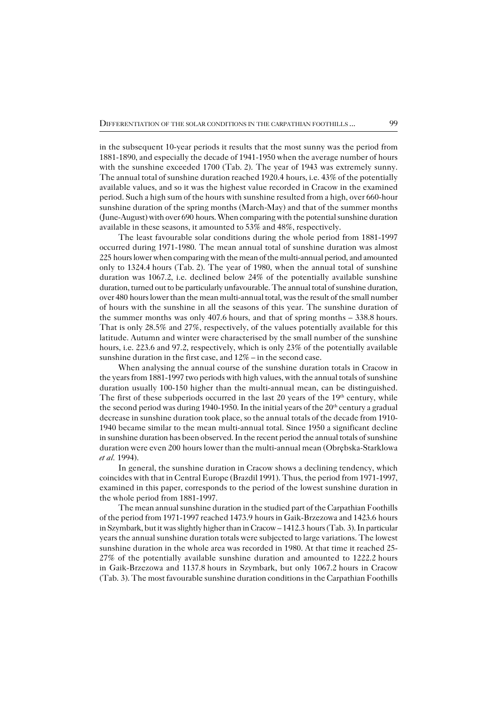in the subsequent 10−year periods it results that the most sunny was the period from 1881−1890, and especially the decade of 1941−1950 when the average number of hours with the sunshine exceeded 1700 (Tab.2). The year of 1943 was extremely sunny. The annual total of sunshine duration reached 1920.4 hours, i.e. 43% of the potentially available values, and so it was the highest value recorded in Cracow in the examined period. Such a high sum of the hours with sunshine resulted from a high, over 660−hour sunshine duration of the spring months (March−May) and that of the summer months (June−August) with over 690hours. When comparing with the potential sunshine duration available in these seasons, it amounted to 53% and 48%, respectively.

The least favourable solar conditions during the whole period from 1881−1997 occurred during 1971−1980. The mean annual total of sunshine duration was almost 225hours lower when comparing with the mean of the multi−annual period, and amounted only to 1324.4hours (Tab.2). The year of 1980, when the annual total of sunshine duration was 1067.2, i.e. declined below 24% of the potentially available sunshine duration, turned out to be particularly unfavourable. The annual total of sunshine duration, over 480 hours lower than the mean multi-annual total, was the result of the small number of hours with the sunshine in all the seasons of this year. The sunshine duration of the summer months was only 407.6 hours, and that of spring months  $-338.8$  hours. That is only 28.5% and 27%, respectively, of the values potentially available for this latitude. Autumn and winter were characterised by the small number of the sunshine hours, i.e. 223.6 and 97.2, respectively, which is only 23% of the potentially available sunshine duration in the first case, and 12% – in the second case.

When analysing the annual course of the sunshine duration totals in Cracow in the years from 1881−1997 two periods with high values, with the annual totals of sunshine duration usually 100−150 higher than the multi−annual mean, can be distinguished. The first of these subperiods occurred in the last 20 years of the  $19<sup>th</sup>$  century, while the second period was during 1940−1950. In the initial years of the 20<sup>th</sup> century a gradual decrease in sunshine duration took place, so the annual totals of the decade from 1910− 1940 became similar to the mean multi−annual total. Since 1950 a significant decline in sunshine duration has been observed. In the recent period the annual totals of sunshine duration were even 200hours lower than the multi−annual mean (Obrębska−Starklowa *et al.* 1994).

In general, the sunshine duration in Cracow shows a declining tendency, which coincides with that in Central Europe (Brazdil 1991). Thus, the period from 1971−1997, examined in this paper, corresponds to the period of the lowest sunshine duration in the whole period from 1881−1997.

The mean annual sunshine duration in the studied part of the Carpathian Foothills of the period from 1971−1997 reached 1473.9hours in Gaik−Brzezowa and 1423.6hours in Szymbark, but it was slightly higher than in Cracow - 1412.3 hours (Tab. 3). In particular years the annual sunshine duration totals were subjected to large variations. The lowest sunshine duration in the whole area was recorded in 1980. At that time it reached 25− 27% of the potentially available sunshine duration and amounted to 1222.2hours in Gaik−Brzezowa and 1137.8hours in Szymbark, but only 1067.2hours in Cracow (Tab.3). The most favourable sunshine duration conditions in the Carpathian Foothills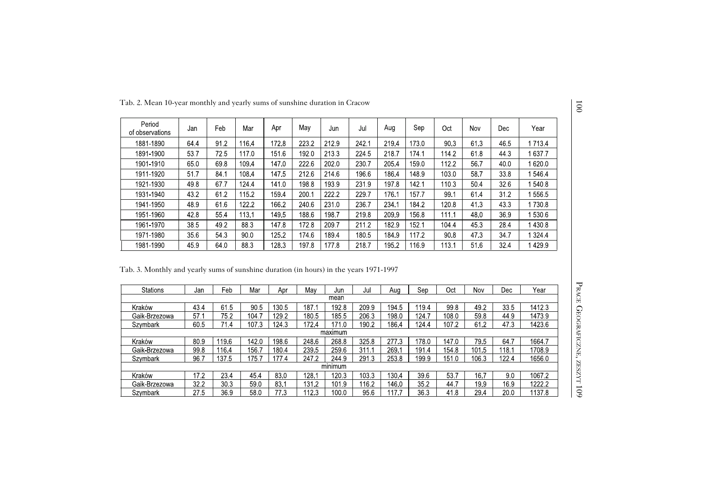| Period<br>of observations                                                                                 | Jan                     | Feb        | Mar        | Apr          | May            | Jun          | Jul           | Aug          | Sep        | Oct         | Nov        | Dec       | Year           |
|-----------------------------------------------------------------------------------------------------------|-------------------------|------------|------------|--------------|----------------|--------------|---------------|--------------|------------|-------------|------------|-----------|----------------|
| 1881-1890                                                                                                 | 644                     | 912        | 116.4      | 172.8        | 223.2          | 212.9        | 242.1         | 219.4        | 173.0      | 903         | 613        | 46.5      | 17134          |
| 1891-1900                                                                                                 | 537                     | 725        | 117.0      | 151.6        | 192.0          | 213.3        | 224 5         | 218.7        | 174 1      | 1142        | 618        | 443       | 16377          |
| 1901-1910                                                                                                 | 650                     | 698        | 1094       | 147.0        | 222.6          | 202.0        | 230.7         | 205.4        | 159.0      | 112.2       | 567        | 400       | 1620.0         |
| 1911-1920                                                                                                 | 51.7                    | 84 1       | 1084       | 1475         | 212.6          | 214.6        | 1966          | 186.4        | 1489       | 103.0       | 587        | 338       | 15464          |
| 1921-1930                                                                                                 | 498                     | 677        | 124.4      | 141.0        | 198.8          | 1939         | 2319          | 1978         | 142.1      | 110.3       | 504        | 326       | 15408          |
| 1931-1940                                                                                                 | 43.2                    | 612        | 1152       | 159.4        | 200.1          | 2222         | 229.7         | 176.1        | 157.7      | 99.1        | 614        | 312       | 15565          |
| 1941-1950                                                                                                 | 489                     | 616        | 1222       | 166.2        | 2406           | 231.0        | 236.7         | 234.1        | 1842       | 1208        | 413        | 433       | 17308          |
| 1951-1960                                                                                                 | 42.8                    | 55.4       | 113.1      | 149.5        | 188.6          | 198.7        | 2198          | 209.9        | 156.8      | 1111        | 48.0       | 369       | 530.6          |
| 1961-1970                                                                                                 | 38.5                    | 492        | 883        | 147.8        | 172.8          | 2097         | 211.2         | 1829         | 152.1      | 1044        | 453        | 284       | 1430.8         |
| 1971-1980                                                                                                 | 356                     | 543        | 900        | 1252         | 174.6          | 189.4        | 180.5         | 1849         | 117.2      | 908         | 473        | 34.7      | 1 3 2 4 4      |
|                                                                                                           |                         |            |            |              |                |              |               |              |            |             |            |           |                |
| 1981-1990                                                                                                 | 459                     | 640        | 883        | 1283         | 197.8          | 177.8        | 218.7         | 195.2        | 116.9      | 113.1       | 516        | 324       | 14299          |
| Tab. 3. Monthly and yearly sums of sunshine duration (in hours) in the years 1971-1997<br><b>Stations</b> | Jan                     | Feb        | Mar        | Apr          | May            | Jun          | Jul           | Aug          | Sep        | Oct         | Nov        | Dec       | Year           |
|                                                                                                           |                         |            |            |              |                | mean         |               |              |            |             |            |           |                |
| Kraków                                                                                                    | 434                     | 61.5       | 90.5       | 130.5        | 187.1          | 1928         | 2099          | 194.5        | 1194       | 998         | 492        | 335       | 14123          |
| Gaik-Brzezowa                                                                                             | 57.1                    | 752        | 104.7      | 129.2        | 180.5          | 185.5        | 2063          | 1980         | 1247       | 108.0       | 598        | 44.9      | 1473.9         |
| Szymbark                                                                                                  | 605                     | 714        | 107.3      | 124.3        | 1724           | 171.0        | 1902          | 1864         | 1244       | 1072        | 612        | 473       | 1423.6         |
|                                                                                                           |                         |            |            |              |                | maximum      |               |              |            |             |            |           |                |
| Kraków                                                                                                    | 809                     | 1196       | 142.0      | 198.6        | 248.6          | 2688         | 3258          | 2773         | 178.0      | 147.0       | 795        | 647       | 16647          |
| Gaik-Brzezowa                                                                                             | 998                     | 1164       | 156.7      | 180.4        | 239.5          | 259.6        | 311.1         | 269.1        | 191.4      | 154.8       | 101.5      | 118.1     | 1708.9         |
| Szymbark                                                                                                  | 96.7                    | 1375       | 1757       | 1774         | 247.2          | 244.9        | 2913          | 2538         | 199.9      | 151.0       | 1063       | 122.4     | 1656.0         |
|                                                                                                           |                         |            |            |              |                | minimum      |               |              |            |             |            |           |                |
| Kraków<br>Gaik-Brzezowa                                                                                   | 17 <sub>2</sub><br>32 2 | 234<br>303 | 454<br>590 | 83.0<br>83.1 | 128.1<br>131.2 | 1203<br>1019 | 103.3<br>1162 | 1304<br>1460 | 396<br>352 | 537<br>44.7 | 167<br>199 | 90<br>169 | 10672<br>12222 |

| <b>Stations</b> | Jan     | Feb   | Mar             | Apr   | Mav   | Jur            | Jul   | Aug             | Sep             | Oct   | Nov       | Dec  | Year   |  |
|-----------------|---------|-------|-----------------|-------|-------|----------------|-------|-----------------|-----------------|-------|-----------|------|--------|--|
| mean            |         |       |                 |       |       |                |       |                 |                 |       |           |      |        |  |
| Kraków          | 43.4    | 61.5  | 90 <sub>5</sub> | 130.5 | 187.  | 1928           | 209.9 | 194.5           | 119.4           | 99.8  | 492       | 33.5 | 14123  |  |
| Gaik-Brzezowa   | 57.7    | 752   | 104.            | 129.2 | 180.5 | 185.5          | 2063  | 198.0           | 124.            | 1080  | 598       | 449  | 14739  |  |
| Szymbark        | 60 5    | 714   | 107.3           | 124 3 | 1724  | 171<br>$\cdot$ | 1902  | 1864            | 1244            | 1072  | 61 2      | 473  | 14236  |  |
|                 | maximum |       |                 |       |       |                |       |                 |                 |       |           |      |        |  |
| Kraków          | 809     | 119.6 | 142.0           | 198.6 | 248.6 | 268.8          | 3258  | 2773            | 1780            | 147.0 | 795       | 64   | 16647  |  |
| Gaik-Brzezowa   | 998     | 1164  | 156.            | 1804  | 239.5 | 2596           | 311.1 | 269.1           | 1914            | 154.8 | -5<br>101 | 18.1 | 1708.9 |  |
| Szymbark        | 96.7    | 1375  | 175.            | 1774  | 247.2 | 2449           | 2913  | 2538            | 1999            | 1510  | 1063      | 1224 | 16560  |  |
|                 |         |       |                 |       |       | minimum        |       |                 |                 |       |           |      |        |  |
| Kraków          | 172     | 234   | 45.4            | 830   | 128.  | 120.3          | 1033  | 1304            | 39.6            | 53.7  | 167       | 9.0  | 1067.2 |  |
| Gaik-Brzezowa   | 32 2    | 303   | 590             | 83.1  | 131.2 | 1019           | 162   | 1460            | 35 <sub>2</sub> | 44 7  | 199       | 169  | 12222  |  |
| Szymbark        | 275     | 369   | 580             | 773   | 123   | 100.0          | 956   | 17 <sub>7</sub> | 363             | 41.8  | 294       | 200  | 11378  |  |

 $\overline{\phantom{a}}$ RACE GEOGRAFICZNE,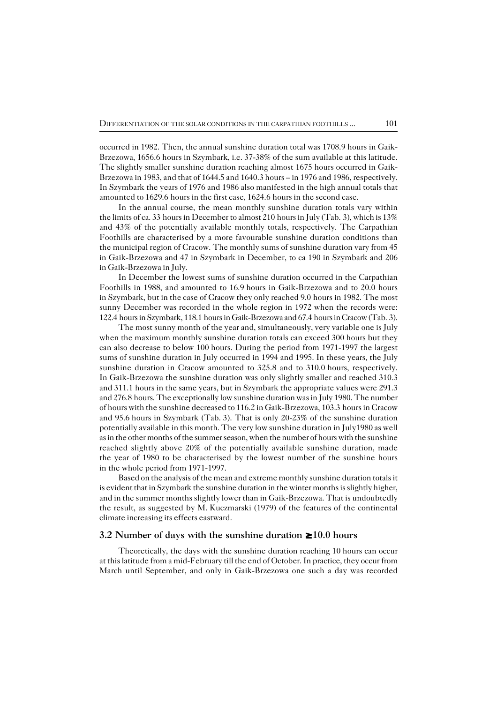occurred in 1982. Then, the annual sunshine duration total was 1708.9 hours in Gaik-Brzezowa, 1656.6 hours in Szymbark, i.e. 37-38% of the sum available at this latitude. The slightly smaller sunshine duration reaching almost 1675 hours occurred in Gaik-Brzezowa in 1983, and that of 1644.5 and 1640.3 hours – in 1976 and 1986, respectively. In Szymbark the years of 1976 and 1986 also manifested in the high annual totals that amounted to 1629.6 hours in the first case, 1624.6 hours in the second case.

In the annual course, the mean monthly sunshine duration totals vary within the limits of ca. 33 hours in December to almost 210 hours in July (Tab. 3), which is  $13\%$ and 43% of the potentially available monthly totals, respectively. The Carpathian Foothills are characterised by a more favourable sunshine duration conditions than the municipal region of Cracow. The monthly sums of sunshine duration vary from 45 in Gaik−Brzezowa and 47 in Szymbark in December, to ca 190 in Szymbark and 206 in Gaik−Brzezowa in July.

In December the lowest sums of sunshine duration occurred in the Carpathian Foothills in 1988, and amounted to 16.9hours in Gaik−Brzezowa and to 20.0 hours in Szymbark, but in the case of Cracow they only reached 9.0hours in 1982. The most sunny December was recorded in the whole region in 1972 when the records were: 122.4hours in Szymbark, 118.1hours in Gaik−Brzezowa and 67.4hours in Cracow (Tab.3).

The most sunny month of the year and, simultaneously, very variable one is July when the maximum monthly sunshine duration totals can exceed 300 hours but they can also decrease to below 100hours. During the period from 1971−1997 the largest sums of sunshine duration in July occurred in 1994 and 1995. In these years, the July sunshine duration in Cracow amounted to 325.8 and to 310.0 hours, respectively. In Gaik−Brzezowa the sunshine duration was only slightly smaller and reached 310.3 and 311.1 hours in the same years, but in Szymbark the appropriate values were 291.3 and 276.8hours. The exceptionally low sunshine duration was in July 1980. The number of hours with the sunshine decreased to 116.2 in Gaik−Brzezowa, 103.3hours in Cracow and 95.6hours in Szymbark (Tab.3). That is only 20−23% of the sunshine duration potentially available in this month. The very low sunshine duration in July1980 as well as in the other months of the summer season, when the number of hours with the sunshine reached slightly above 20% of the potentially available sunshine duration, made the year of 1980 to be characterised by the lowest number of the sunshine hours in the whole period from 1971−1997.

Based on the analysis of the mean and extreme monthly sunshine duration totals it is evident that in Szymbark the sunshine duration in the winter months is slightly higher, and in the summer months slightly lower than in Gaik−Brzezowa. That is undoubtedly the result, as suggested by M.Kuczmarski (1979) of the features of the continental climate increasing its effects eastward.

#### **3.2 Number of days with the sunshine duration ≥ 10.0 hours**

Theoretically, the days with the sunshine duration reaching 10 hours can occur at this latitude from a mid−February till the end of October. In practice, they occur from March until September, and only in Gaik−Brzezowa one such a day was recorded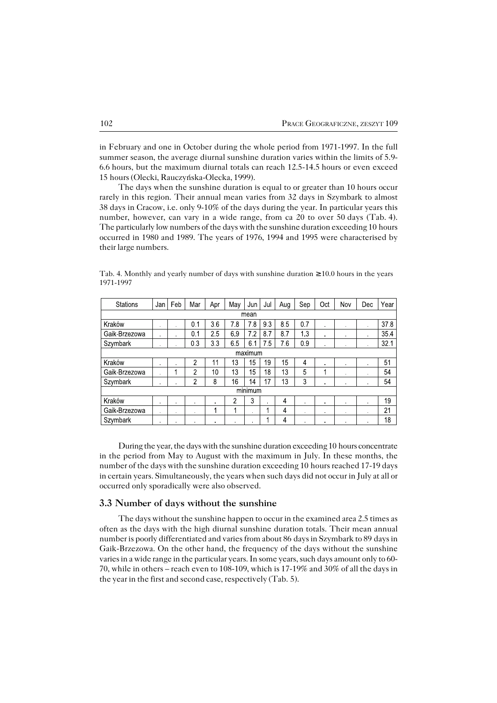in February and one in October during the whole period from 1971−1997. In the full summer season, the average diurnal sunshine duration varies within the limits of 5.9− 6.6hours, but the maximum diurnal totals can reach 12.5−14.5hours or even exceed 15hours (Olecki, Rauczyńska−Olecka, 1999).

The days when the sunshine duration is equal to or greater than 10 hours occur rarely in this region. Their annual mean varies from 32 days in Szymbark to almost 38 days in Cracow, i.e. only 9−10% of the days during the year. In particular years this number, however, can vary in a wide range, from ca 20 to over 50days (Tab.4). The particularly low numbers of the days with the sunshine duration exceeding 10 hours occurred in 1980 and 1989. The years of 1976, 1994 and 1995 were characterised by their large numbers.

| <b>Stations</b> | Jan            | Feb            | Mar            | Apr            | May            | Jun          | Jul            | Aug | Sep          | Oct            | Nov            | Dec          | Year |  |
|-----------------|----------------|----------------|----------------|----------------|----------------|--------------|----------------|-----|--------------|----------------|----------------|--------------|------|--|
| mean            |                |                |                |                |                |              |                |     |              |                |                |              |      |  |
| Kraków          | $\mathbf{r}$   | ٠              | 0.1            | 3.6            | 7.8            | 7.8          | 93             | 8.5 | 0.7          | $\mathbf{r}$   | $\blacksquare$ | $\bullet$    | 378  |  |
| Gaik-Brzezowa   | $\blacksquare$ | ٠              | 0.1            | 25             | 69             | 7.2          | 87             | 87  | 1.3          | $\blacksquare$ | $\mathbf{r}$   | $\bullet$    | 354  |  |
| Szymbark        | $\blacksquare$ |                | 0.3            | 3.3            | 6.5            | 6.<br>-4     | ' 5<br>7       | 7.6 | 09           | $\blacksquare$ | $\mathbf{r}$   | $\mathbf{r}$ | 32.1 |  |
|                 | maximum        |                |                |                |                |              |                |     |              |                |                |              |      |  |
| Kraków          | $\mathbf{r}$   |                | 2              | 11             | 13             | 15           | 19             | 15  | 4            | $\blacksquare$ | $\blacksquare$ | $\bullet$    | 51   |  |
| Gaik-Brzezowa   | $\mathbf{r}$   |                | $\overline{2}$ | 10             | 13             | 15           | 18             | 13  | 5            | 4              | $\mathbf{r}$   | $\bullet$    | 54   |  |
| Szymbark        | $\blacksquare$ |                | 2              | 8              | 16             | 14           | 17             | 13  | 3            | $\blacksquare$ | $\blacksquare$ | $\mathbf{r}$ | 54   |  |
|                 |                |                |                |                |                | minimum      |                |     |              |                |                |              |      |  |
| Kraków          | $\mathbf{r}$   | $\bullet$      | $\mathbf{r}$   | $\bullet$      | 2              | 3            | $\blacksquare$ | 4   | $\bullet$    | $\mathbf{r}$   | $\blacksquare$ | $\bullet$    | 19   |  |
| Gaik-Brzezowa   | $\blacksquare$ | $\mathbf{r}$   | $\mathbf{r}$   |                | 4              | $\mathbf{r}$ | 1              | 4   | $\mathbf{r}$ | $\blacksquare$ | $\mathbf{r}$   | $\bullet$    | 21   |  |
| Szymbark        | $\mathbf{r}$   | $\blacksquare$ | $\mathbf{r}$   | $\blacksquare$ | $\blacksquare$ | $\mathbf{r}$ |                | 4   | $\mathbf{r}$ | $\mathbf{r}$   | $\blacksquare$ | $\mathbf{r}$ | 18   |  |

Tab. 4. Monthly and yearly number of days with sunshine duration  $\geq 10.0$  hours in the years 1971−1997

During the year, the days with the sunshine duration exceeding 10 hours concentrate in the period from May to August with the maximum in July. In these months, the number of the days with the sunshine duration exceeding 10 hours reached 17−19 days in certain years. Simultaneously, the years when such days did not occur in July at all or occurred only sporadically were also observed.

#### **3.3 Number of days without the sunshine**

The days without the sunshine happen to occur in the examined area 2.5 times as often as the days with the high diurnal sunshine duration totals. Their mean annual number is poorly differentiated and varies from about 86 days in Szymbark to 89 days in Gaik−Brzezowa. On the other hand, the frequency of the days without the sunshine varies in a wide range in the particular years. In some years, such days amount only to 60− 70, while in others – reach even to 108−109, which is 17−19% and 30% of all the days in the year in the first and second case, respectively (Tab.5).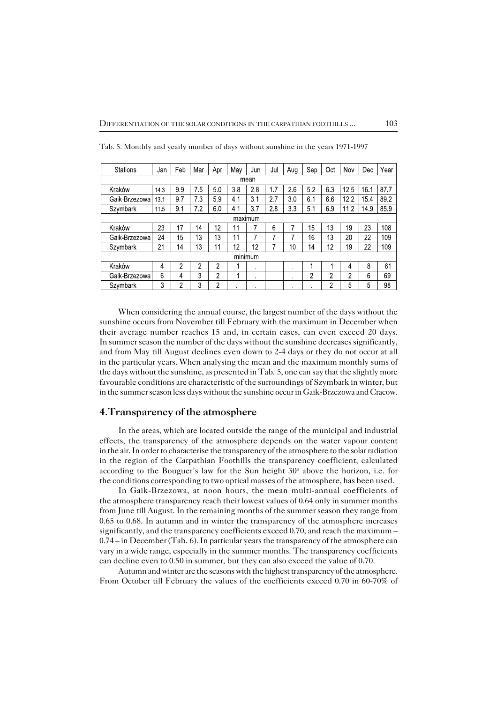| <b>Stations</b> | Jan  | Feb              | Mar | Apr | May            | Jun            | Jul            | Aug          | Sep            | Oct | Nov             | Dec  | Year |
|-----------------|------|------------------|-----|-----|----------------|----------------|----------------|--------------|----------------|-----|-----------------|------|------|
| mean            |      |                  |     |     |                |                |                |              |                |     |                 |      |      |
| Kraków          | 143  | 99               | 7.5 | 50  | 38             | 2.8            | 17             | 26           | 52             | 63  | 12 <sub>5</sub> | 16.1 | 87.7 |
| Gaik-Brzezowa   | 13.1 | 9.7              | 7.3 | 59  | 4.1            | 3 <sub>1</sub> | 2.7            | 3.0          | 6 <sub>1</sub> | 66  | 12.2            | 154  | 892  |
| Szymbark        | 115  | 9 <sub>1</sub>   | 7.2 | 60  | 4.1            | 37             | 28             | 33           | 5.1            | 69  | 112             | 149  | 859  |
|                 |      |                  |     |     |                | maximum        |                |              |                |     |                 |      |      |
| Kraków          | 23   | 17               | 14  | 12  | 11             |                | 6              |              | 15             | 13  | 19              | 23   | 108  |
| Gaik-Brzezowa   | 24   | 15 <sub>15</sub> | 13  | 13  | 11             | 7              |                |              | 16             | 13  | 20              | 22   | 109  |
| Szymbark        | 21   | 14               | 13  | 11  | 12             | 12             |                | 10           | 14             | 12  | 19              | 22   | 109  |
|                 |      |                  |     |     |                | minimum        |                |              |                |     |                 |      |      |
| Kraków          | 4    | 2                | 2   | 2   | 4              | $\mathbf{r}$   | $\blacksquare$ | $\mathbf{r}$ |                |     | 4               | 8    | 61   |
| Gaik-Brzezowa   | 6    | 4                | 3   | 2   | 1              | $\mathbf{r}$   | $\bullet$      | $\mathbf{r}$ | 2              | 2   | 2               | 6    | 69   |
| Szymbark        | 3    | 2                | 3   | 2   | $\blacksquare$ | $\mathbf{r}$   | $\bullet$      | $\mathbf{r}$ | $\blacksquare$ | 2   | 5               | 5    | 98   |

Tab. 5. Monthly and yearly number of days without sunshine in the years 1971−1997

When considering the annual course, the largest number of the days without the sunshine occurs from November till February with the maximum in December when their average number reaches 15 and, in certain cases, can even exceed 20 days. In summer season the number of the days without the sunshine decreases significantly, and from May till August declines even down to 2−4 days or they do not occur at all in the particular years. When analysing the mean and the maximum monthly sums of the days without the sunshine, as presented in Tab.5, one can say that the slightly more favourable conditions are characteristic of the surroundings of Szymbark in winter, but in the summer season less days without the sunshine occur in Gaik−Brzezowa and Cracow.

#### **4.Transparency of the atmosphere**

In the areas, which are located outside the range of the municipal and industrial effects, the transparency of the atmosphere depends on the water vapour content in the air. In order to characterise the transparency of the atmosphere to the solar radiation in the region of the Carpathian Foothills the transparency coefficient, calculated according to the Bouguer's law for the Sun height  $30^{\circ}$  above the horizon, i.e. for the conditions corresponding to two optical masses of the atmosphere, has been used.

In Gaik−Brzezowa, at noon hours, the mean multi−annual coefficients of the atmosphere transparency reach their lowest values of 0.64 only in summer months from June till August. In the remaining months of the summer season they range from 0.65 to 0.68. In autumn and in winter the transparency of the atmosphere increases significantly, and the transparency coefficients exceed 0.70, and reach the maximum –  $0.74$  – in December (Tab. 6). In particular years the transparency of the atmosphere can vary in a wide range, especially in the summer months. The transparency coefficients can decline even to 0.50 in summer, but they can also exceed the value of 0.70.

Autumn and winter are the seasons with the highest transparency of the atmosphere. From October till February the values of the coefficients exceed 0.70 in 60−70% of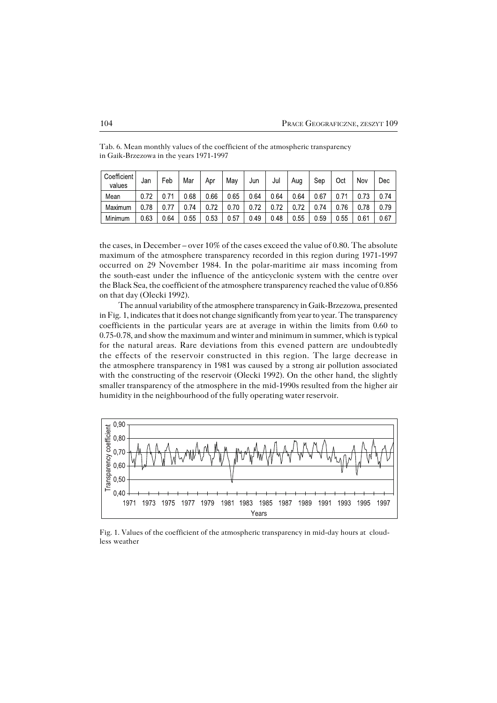| Coefficient<br>values | Jan  | Feb | Mar  | Apr  | May  | Jun  | Jul  | Aug  | Sep  | Oct  | Nov           | Dec  |
|-----------------------|------|-----|------|------|------|------|------|------|------|------|---------------|------|
| Mean                  | 072  | 74  | 0 68 | 0.66 | 0 65 | 0 64 | 0.64 | 0 64 | 0.67 | 74   | 073           | 0.74 |
| Maximum               | 0.78 |     | 0 74 | 0.72 | 0.70 | 0 72 | 0 72 | 0 72 | 74 ل | 076  | 078           | 079  |
| Minimum               | 063  | 064 | 0 55 | 0 53 | 0.57 | 0 49 | 048  | 0 55 | 059  | მ 55 | $0.6^{\circ}$ | 0.67 |

Tab. 6. Mean monthly values of the coefficient of the atmospheric transparency in Gaik−Brzezowa in the years 1971−1997

the cases, in December – over 10% of the cases exceed the value of 0.80. The absolute maximum of the atmosphere transparency recorded in this region during 1971−1997 occurred on 29 November 1984. In the polar−maritime air mass incoming from the south−east under the influence of the anticyclonic system with the centre over the Black Sea, the coefficient of the atmosphere transparency reached the value of 0.856 on that day (Olecki 1992).

The annual variability of the atmosphere transparency in Gaik−Brzezowa, presented in Fig.1, indicates that it does not change significantly from year to year. The transparency coefficients in the particular years are at average in within the limits from 0.60 to 0.75−0.78, and show the maximum and winter and minimum in summer, which is typical for the natural areas. Rare deviations from this evened pattern are undoubtedly the effects of the reservoir constructed in this region. The large decrease in the atmosphere transparency in 1981 was caused by a strong air pollution associated with the constructing of the reservoir (Olecki 1992). On the other hand, the slightly smaller transparency of the atmosphere in the mid−1990s resulted from the higher air humidity in the neighbourhood of the fully operating water reservoir.



Fig. 1. Values of the coefficient of the atmospheric transparency in mid−day hours at cloud− less weather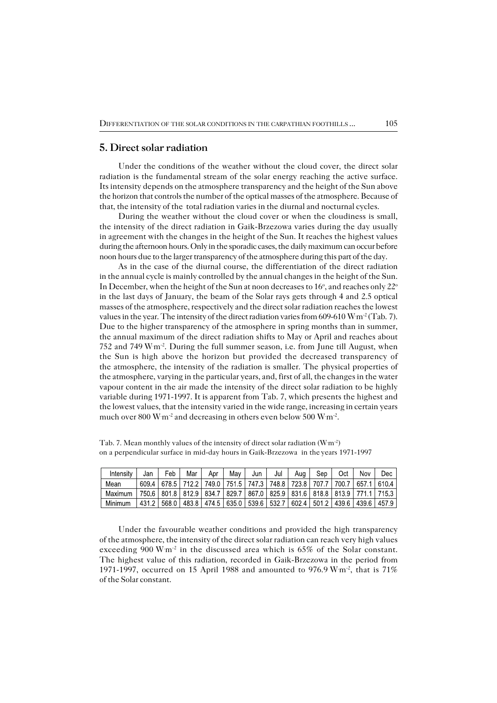### **5. Direct solar radiation**

Under the conditions of the weather without the cloud cover, the direct solar radiation is the fundamental stream of the solar energy reaching the active surface. Its intensity depends on the atmosphere transparency and the height of the Sun above the horizon that controls the number of the optical masses of the atmosphere. Because of that, the intensity of the total radiation varies in the diurnal and nocturnal cycles.

During the weather without the cloud cover or when the cloudiness is small, the intensity of the direct radiation in Gaik−Brzezowa varies during the day usually in agreement with the changes in the height of the Sun. It reaches the highest values during the afternoon hours. Only in the sporadic cases, the daily maximum can occur before noon hours due to the larger transparency of the atmosphere during this part of the day.

As in the case of the diurnal course, the differentiation of the direct radiation in the annual cycle is mainly controlled by the annual changes in the height of the Sun. In December, when the height of the Sun at noon decreases to 16 $^{\circ}$ , and reaches only 22 $^{\circ}$ in the last days of January, the beam of the Solar rays gets through 4 and 2.5 optical masses of the atmosphere, respectively and the direct solar radiation reaches the lowest values in the year. The intensity of the direct radiation varies from 609-610 Wm<sup>-2</sup> (Tab. 7). Due to the higher transparency of the atmosphere in spring months than in summer, the annual maximum of the direct radiation shifts to May or April and reaches about 752 and 749W.m−2. During the full summer season, i.e. from June till August, when the Sun is high above the horizon but provided the decreased transparency of the atmosphere, the intensity of the radiation is smaller. The physical properties of the atmosphere, varying in the particular years, and, first of all, the changes in the water vapour content in the air made the intensity of the direct solar radiation to be highly variable during 1971−1997. It is apparent from Tab.7, which presents the highest and the lowest values, that the intensity varied in the wide range, increasing in certain years much over 800 W m<sup>-2</sup> and decreasing in others even below 500 W m<sup>-2</sup>.

| Intensity | Jar   | Feb   | Mar       | Apr                                   | Mav         | Jun     | Jul   | Aua                                   | Sec   | Oct   | Nov     | Dec   |
|-----------|-------|-------|-----------|---------------------------------------|-------------|---------|-------|---------------------------------------|-------|-------|---------|-------|
| Mean      | 609.4 | 678.5 | 7122      | 749.0                                 | 75151       | 747 3 L | 74881 | 723.8                                 | 707.7 | 700.7 | 657.1 I | 610.4 |
| Maximum   | 7506  |       | 8018 8129 |                                       | 834 7 829 7 |         |       | 867 0   825 9   831 6   818 8   813 9 |       |       |         | 7153  |
| Minimum   | 4312  | 568.0 |           | 483 8   474 5   635 0   539 6   532 7 |             |         |       | 602.4                                 | 501.2 | 4396  | 439.6   | 457.9 |

Tab. 7. Mean monthly values of the intensity of direct solar radiation (W.m−2) on a perpendicular surface in mid−day hours in Gaik−Brzezowa in the years 1971−1997

Under the favourable weather conditions and provided the high transparency of the atmosphere, the intensity of the direct solar radiation can reach very high values exceeding 900 W·m<sup>-2</sup> in the discussed area which is 65% of the Solar constant. The highest value of this radiation, recorded in Gaik−Brzezowa in the period from 1971-1997, occurred on 15 April 1988 and amounted to 976.9 W·m<sup>-2</sup>, that is 71% of the Solar constant.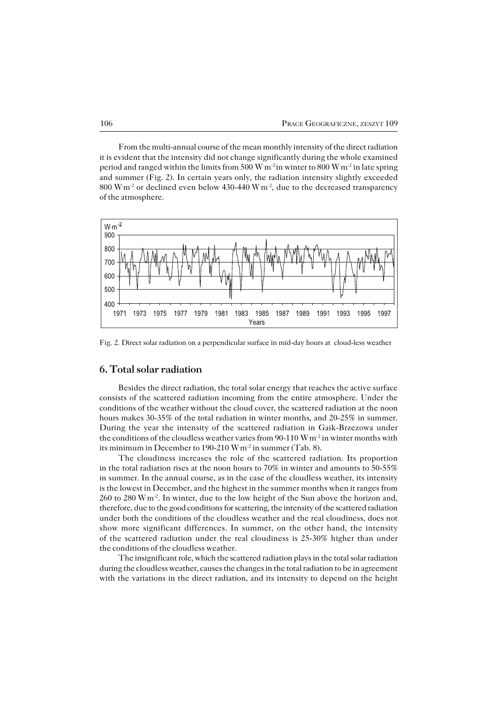From the multi−annual course of the mean monthly intensity of the direct radiation it is evident that the intensity did not change significantly during the whole examined period and ranged within the limits from 500 W $m<sup>2</sup>$  in winter to 800 W $m<sup>2</sup>$  in late spring and summer (Fig. 2). In certain years only, the radiation intensity slightly exceeded 800 Wm<sup>-2</sup> or declined even below 430-440 W·m<sup>-2</sup>, due to the decreased transparency of the atmosphere.



Fig. 2. Direct solar radiation on a perpendicular surface in mid−day hours at cloud−less weather

## **6. Total solar radiation**

Besides the direct radiation, the total solar energy that reaches the active surface consists of the scattered radiation incoming from the entire atmosphere. Under the conditions of the weather without the cloud cover, the scattered radiation at the noon hours makes 30−35% of the total radiation in winter months, and 20−25% in summer. During the year the intensity of the scattered radiation in Gaik−Brzezowa under the conditions of the cloudless weather varies from 90−110 W $m<sup>2</sup>$  in winter months with its minimum in December to 190−210W.m−2 in summer (Tab.8).

The cloudiness increases the role of the scattered radiation. Its proportion in the total radiation rises at the noon hours to 70% in winter and amounts to 50−55% in summer. In the annual course, as in the case of the cloudless weather, its intensity is the lowest in December, and the highest in the summer months when it ranges from 260 to 280 W·m<sup>-2</sup>. In winter, due to the low height of the Sun above the horizon and, therefore, due to the good conditions for scattering, the intensity of the scattered radiation under both the conditions of the cloudless weather and the real cloudiness, does not show more significant differences. In summer, on the other hand, the intensity of the scattered radiation under the real cloudiness is 25−30% higher than under the conditions of the cloudless weather.

The insignificant role, which the scattered radiation plays in the total solar radiation during the cloudless weather, causes the changes in the total radiation to be in agreement with the variations in the direct radiation, and its intensity to depend on the height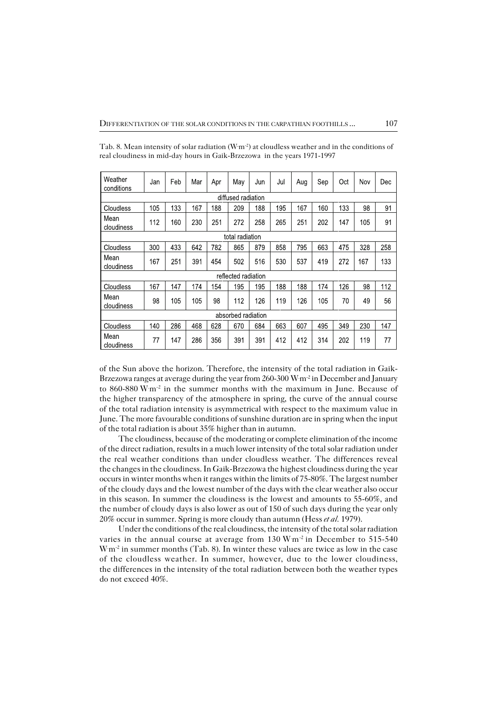| Weather<br>conditions | Jan                | Feb | Mar | Apr | May                 | Jun | Jul | Aug | Sep | Oct | Nov | Dec |
|-----------------------|--------------------|-----|-----|-----|---------------------|-----|-----|-----|-----|-----|-----|-----|
|                       | diffused radiation |     |     |     |                     |     |     |     |     |     |     |     |
| Cloudless             | 105                | 133 | 167 | 188 | 209                 | 188 | 195 | 167 | 160 | 133 | 98  | 91  |
| Mean<br>cloudiness    | 112                | 160 | 230 | 251 | 272                 | 258 | 265 | 251 | 202 | 147 | 105 | 91  |
|                       |                    |     |     |     | total radiation     |     |     |     |     |     |     |     |
| Cloudless             | 300                | 433 | 642 | 782 | 865                 | 879 | 858 | 795 | 663 | 475 | 328 | 258 |
| Mean<br>cloudiness    | 167                | 251 | 391 | 454 | 502                 | 516 | 530 | 537 | 419 | 272 | 167 | 133 |
|                       |                    |     |     |     | reflected radiation |     |     |     |     |     |     |     |
| Cloudless             | 167                | 147 | 174 | 154 | 195                 | 195 | 188 | 188 | 174 | 126 | 98  | 112 |
| Mean<br>cloudiness    | 98                 | 105 | 105 | 98  | 112                 | 126 | 119 | 126 | 105 | 70  | 49  | 56  |
|                       | absorbed radiation |     |     |     |                     |     |     |     |     |     |     |     |
| Cloudless             | 140                | 286 | 468 | 628 | 670                 | 684 | 663 | 607 | 495 | 349 | 230 | 147 |
| Mean<br>cloudiness    | 77                 | 147 | 286 | 356 | 391                 | 391 | 412 | 412 | 314 | 202 | 119 | 77  |

Tab. 8. Mean intensity of solar radiation (W**.**m−2) at cloudless weather and in the conditions of real cloudiness in mid−day hours in Gaik−Brzezowa in the years 1971−1997

of the Sun above the horizon. Therefore, the intensity of the total radiation in Gaik− Brzezowa ranges at average during the year from 260-300 W·m<sup>-2</sup> in December and January to 860−880W.m−2 in the summer months with the maximum in June. Because of the higher transparency of the atmosphere in spring, the curve of the annual course of the total radiation intensity is asymmetrical with respect to the maximum value in June. The more favourable conditions of sunshine duration are in spring when the input of the total radiation is about 35% higher than in autumn.

The cloudiness, because of the moderating or complete elimination of the income of the direct radiation, results in a much lower intensity of the total solar radiation under the real weather conditions than under cloudless weather. The differences reveal the changes in the cloudiness. In Gaik−Brzezowa the highest cloudiness during the year occurs in winter months when it ranges within the limits of 75−80%. The largest number of the cloudy days and the lowest number of the days with the clear weather also occur in this season. In summer the cloudiness is the lowest and amounts to 55−60%, and the number of cloudy days is also lower as out of 150 of such days during the year only 20% occur in summer. Spring is more cloudy than autumn (Hess *et al.* 1979).

Under the conditions of the real cloudiness, the intensity of the total solar radiation varies in the annual course at average from 130 W $m<sup>2</sup>$  in December to 515-540  $Wm<sup>2</sup>$  in summer months (Tab. 8). In winter these values are twice as low in the case of the cloudless weather. In summer, however, due to the lower cloudiness, the differences in the intensity of the total radiation between both the weather types do not exceed 40%.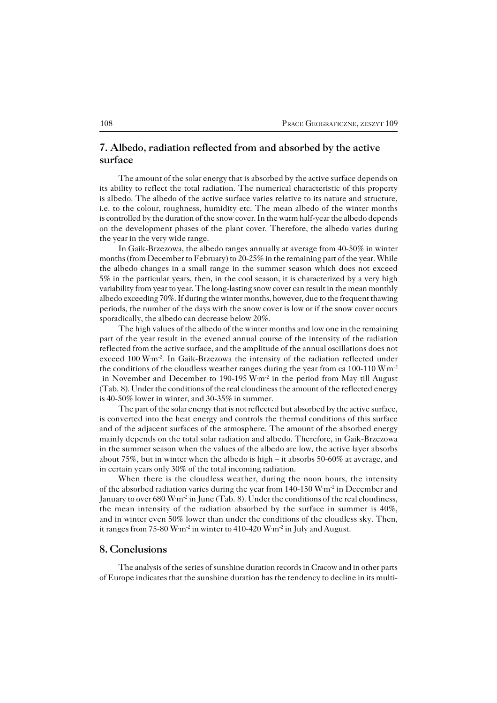## **7. Albedo, radiation reflected from and absorbed by the active surface**

The amount of the solar energy that is absorbed by the active surface depends on its ability to reflect the total radiation. The numerical characteristic of this property is albedo. The albedo of the active surface varies relative to its nature and structure, i.e. to the colour, roughness, humidity etc. The mean albedo of the winter months is controlled by the duration of the snow cover. In the warm half−year the albedo depends on the development phases of the plant cover. Therefore, the albedo varies during the year in the very wide range.

In Gaik−Brzezowa, the albedo ranges annually at average from 40−50% in winter months (from December to February) to 20−25% in the remaining part of the year. While the albedo changes in a small range in the summer season which does not exceed 5% in the particular years, then, in the cool season, it is characterized by a very high variability from year to year. The long−lasting snow cover can result in the mean monthly albedo exceeding 70%. If during the winter months, however, due to the frequent thawing periods, the number of the days with the snow cover is low or if the snow cover occurs sporadically, the albedo can decrease below 20%.

The high values of the albedo of the winter months and low one in the remaining part of the year result in the evened annual course of the intensity of the radiation reflected from the active surface, and the amplitude of the annual oscillations does not exceed 100 W·m<sup>-2</sup>. In Gaik-Brzezowa the intensity of the radiation reflected under the conditions of the cloudless weather ranges during the year from ca 100-110 Wm<sup>-2</sup> in November and December to 190−195W.m−2 in the period from May till August (Tab.8). Under the conditions of the real cloudiness the amount of the reflected energy is 40−50% lower in winter, and 30−35% in summer.

The part of the solar energy that is not reflected but absorbed by the active surface, is converted into the heat energy and controls the thermal conditions of this surface and of the adjacent surfaces of the atmosphere. The amount of the absorbed energy mainly depends on the total solar radiation and albedo. Therefore, in Gaik−Brzezowa in the summer season when the values of the albedo are low, the active layer absorbs about 75%, but in winter when the albedo is high – it absorbs 50−60% at average, and in certain years only 30% of the total incoming radiation.

When there is the cloudless weather, during the noon hours, the intensity of the absorbed radiation varies during the year from 140−150W.m−2 in December and January to over 680 W $m<sup>2</sup>$  in June (Tab. 8). Under the conditions of the real cloudiness, the mean intensity of the radiation absorbed by the surface in summer is 40%, and in winter even 50% lower than under the conditions of the cloudless sky. Then, it ranges from 75−80W.m−2 in winter to 410−420W.m−2 in July and August.

## **8. Conclusions**

The analysis of the series of sunshine duration records in Cracow and in other parts of Europe indicates that the sunshine duration has the tendency to decline in its multi−